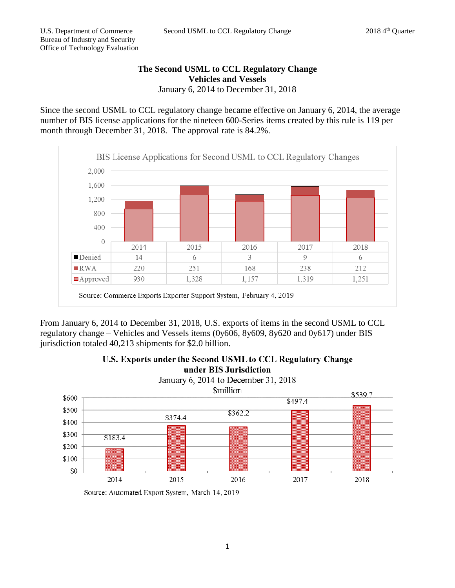## **The Second USML to CCL Regulatory Change Vehicles and Vessels** January 6, 2014 to December 31, 2018

Since the second USML to CCL regulatory change became effective on January 6, 2014, the average number of BIS license applications for the nineteen 600-Series items created by this rule is 119 per month through December 31, 2018. The approval rate is 84.2%.



From January 6, 2014 to December 31, 2018, U.S. exports of items in the second USML to CCL regulatory change – Vehicles and Vessels items (0y606, 8y609, 8y620 and 0y617) under BIS jurisdiction totaled 40,213 shipments for \$2.0 billion.



U.S. Exports under the Second USML to CCL Regulatory Change

Source: Automated Export System, March 14, 2019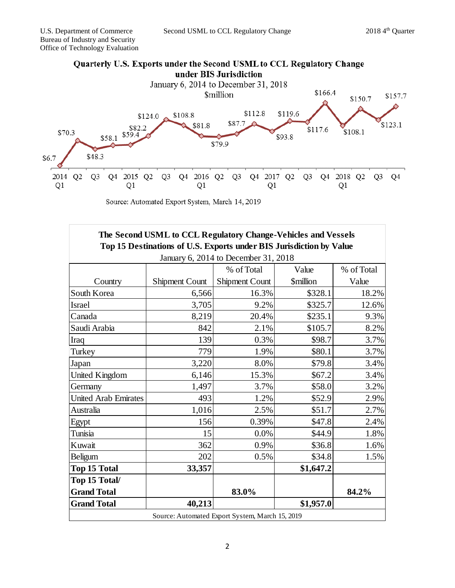

Source: Automated Export System, March 14, 2019

| The Second USML to CCL Regulatory Change-Vehicles and Vessels<br>Top 15 Destinations of U.S. Exports under BIS Jurisdiction by Value |                |                |                         |            |
|--------------------------------------------------------------------------------------------------------------------------------------|----------------|----------------|-------------------------|------------|
|                                                                                                                                      |                |                |                         |            |
|                                                                                                                                      |                | % of Total     | Value                   | % of Total |
| Country                                                                                                                              | Shipment Count | Shipment Count | <i><b>\$million</b></i> | Value      |
| South Korea                                                                                                                          | 6,566          | 16.3%          | \$328.1                 | 18.2%      |
| Israel                                                                                                                               | 3,705          | 9.2%           | \$325.7                 | 12.6%      |
| Canada                                                                                                                               | 8,219          | 20.4%          | \$235.1                 | 9.3%       |
| Saudi Arabia                                                                                                                         | 842            | 2.1%           | \$105.7                 | 8.2%       |
| Iraq                                                                                                                                 | 139            | 0.3%           | \$98.7                  | 3.7%       |
| Turkey                                                                                                                               | 779            | 1.9%           | \$80.1                  | 3.7%       |
| Japan                                                                                                                                | 3,220          | 8.0%           | \$79.8                  | 3.4%       |
| <b>United Kingdom</b>                                                                                                                | 6,146          | 15.3%          | \$67.2                  | 3.4%       |
| Germany                                                                                                                              | 1,497          | 3.7%           | \$58.0                  | 3.2%       |
| <b>United Arab Emirates</b>                                                                                                          | 493            | 1.2%           | \$52.9                  | 2.9%       |
| Australia                                                                                                                            | 1,016          | 2.5%           | \$51.7                  | 2.7%       |
| Egypt                                                                                                                                | 156            | 0.39%          | \$47.8                  | 2.4%       |
| Tunisia                                                                                                                              | 15             | 0.0%           | \$44.9                  | 1.8%       |
| Kuwait                                                                                                                               | 362            | 0.9%           | \$36.8                  | 1.6%       |
| Beligum                                                                                                                              | 202            | 0.5%           | \$34.8                  | 1.5%       |
| <b>Top 15 Total</b>                                                                                                                  | 33,357         |                | \$1,647.2               |            |
| Top 15 Total/                                                                                                                        |                |                |                         |            |
| <b>Grand Total</b>                                                                                                                   |                | 83.0%          |                         | 84.2%      |
| <b>Grand Total</b>                                                                                                                   | 40,213         |                | \$1,957.0               |            |
| Source: Automated Export System, March 15, 2019                                                                                      |                |                |                         |            |